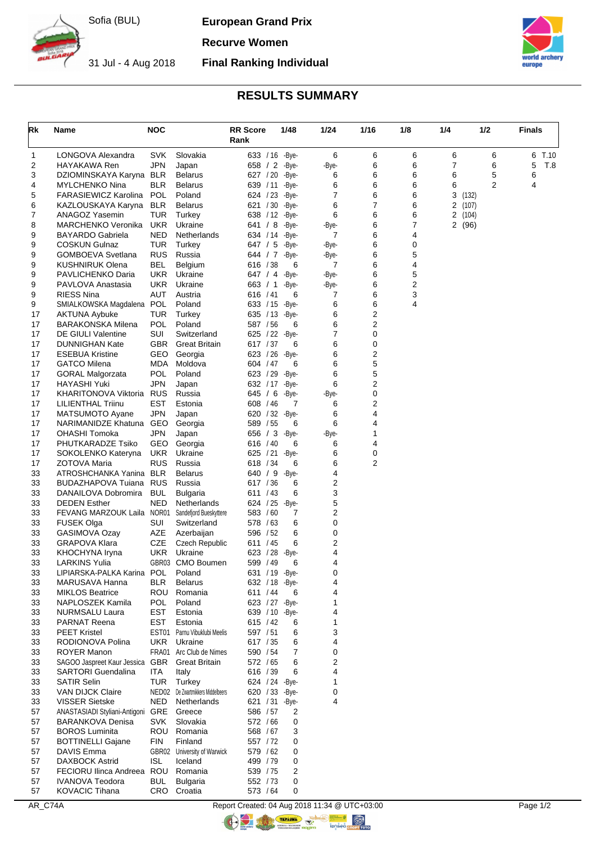Sofia (BUL)

31 Jul - 4 Aug 2018

**European Grand Prix**

**Recurve Women**

## **Final Ranking Individual**



## **RESULTS SUMMARY**

| Rk       | Name                                             | <b>NOC</b>        |                                    | <b>RR Score</b><br>Rank | 1/48            | 1/24       | 1/16                | 1/8    | 1/4            |                | 1/2 | <b>Finals</b> |   |      |
|----------|--------------------------------------------------|-------------------|------------------------------------|-------------------------|-----------------|------------|---------------------|--------|----------------|----------------|-----|---------------|---|------|
| 1        | LONGOVA Alexandra                                | <b>SVK</b>        | Slovakia                           |                         | 633 / 16 - Bye- | 6          | 6                   | 6      | 6              |                | 6   |               | 6 | T.10 |
| 2        | HAYAKAWA Ren                                     | <b>JPN</b>        | Japan                              | 658 / 2                 | -Bye-           | -Bye-      | 6                   | 6      | $\overline{7}$ |                | 6   |               | 5 | T.8  |
| 3        | DZIOMINSKAYA Karyna BLR                          |                   | <b>Belarus</b>                     | 627 / 20                | -Bye-           | 6          | 6                   | 6      | 6              |                | 5   |               | 6 |      |
| 4        | <b>MYLCHENKO Nina</b>                            | BLR               | <b>Belarus</b>                     | 639 / 11                | -Bye-           | 6          | 6                   | 6      | 6              |                | 2   |               | 4 |      |
| 5<br>6   | FARASIEWICZ Karolina<br>KAZLOUSKAYA Karyna       | POL<br><b>BLR</b> | Poland<br><b>Belarus</b>           | 624 / 23<br>621 / 30    | -Bye-<br>-Bye-  | 7<br>6     | 6<br>$\overline{7}$ | 6<br>6 | 3<br>2         | (132)<br>(107) |     |               |   |      |
| 7        | ANAGOZ Yasemin                                   | TUR               | Turkey                             |                         | 638 / 12 - Bye- | 6          | 6                   | 6      |                | 2(104)         |     |               |   |      |
| 8        | MARCHENKO Veronika                               | <b>UKR</b>        | Ukraine                            | 641 / 8                 | -Bye-           | -Bye-      | 6                   | 7      |                | 2 (96)         |     |               |   |      |
| 9        | <b>BAYARDO Gabriela</b>                          | NED               | Netherlands                        | 634 / 14                | -Bye-           | 7          | 6                   | 4      |                |                |     |               |   |      |
| 9        | <b>COSKUN Gulnaz</b>                             | TUR               | Turkey                             | 647 / 5                 | -Bye-           | -Bye-      | 6                   | 0      |                |                |     |               |   |      |
| 9        | <b>GOMBOEVA Svetlana</b>                         | <b>RUS</b>        | Russia                             | 644 / 7                 | -Bye-           | -Bye-      | 6                   | 5      |                |                |     |               |   |      |
| 9        | <b>KUSHNIRUK Olena</b>                           | BEL               | Belgium                            | 616 / 38                | 6               | 7          | 6                   | 4      |                |                |     |               |   |      |
| 9        | PAVLICHENKO Daria                                | <b>UKR</b>        | Ukraine                            | 647 / 4                 | -Bye-           | -Bye-      | 6<br>6              | 5      |                |                |     |               |   |      |
| 9<br>9   | PAVLOVA Anastasia<br>RIESS Nina                  | <b>UKR</b><br>AUT | Ukraine<br>Austria                 | 663 / 1<br>616 / 41     | -Bye-<br>6      | -Bye-<br>7 | 6                   | 2<br>3 |                |                |     |               |   |      |
| 9        | SMIALKOWSKA Magdalena POL                        |                   | Poland                             | 633 / 15                | -Bye-           | 6          | 6                   | 4      |                |                |     |               |   |      |
| 17       | AKTUNA Aybuke                                    | <b>TUR</b>        | Turkey                             | 635 / 13                | -Bye-           | 6          | 2                   |        |                |                |     |               |   |      |
| 17       | <b>BARAKONSKA Milena</b>                         | POL               | Poland                             | 587 / 56                | 6               | 6          | 2                   |        |                |                |     |               |   |      |
| 17       | DE GIULI Valentine                               | SUI               | Switzerland                        | 625 / 22                | -Bye-           | 7          | 0                   |        |                |                |     |               |   |      |
| 17       | <b>DUNNIGHAN Kate</b>                            | GBR.              | <b>Great Britain</b>               | 617 / 37                | 6               | 6          | 0                   |        |                |                |     |               |   |      |
| 17       | <b>ESEBUA Kristine</b>                           | GEO               | Georgia                            | 623 / 26                | -Bye-           | 6          | 2                   |        |                |                |     |               |   |      |
| 17       | <b>GATCO Milena</b>                              | MDA               | Moldova                            | 604 / 47                | 6               | 6          | 5                   |        |                |                |     |               |   |      |
| 17<br>17 | <b>GORAL Malgorzata</b><br>HAYASHI Yuki          | POL<br><b>JPN</b> | Poland                             | 623 / 29<br>632 / 17    | -Bye-<br>-Bye-  | 6<br>6     | 5<br>2              |        |                |                |     |               |   |      |
| 17       | KHARITONOVA Viktoria                             | <b>RUS</b>        | Japan<br>Russia                    | 645 / 6                 | -Bye-           | -Bye-      | 0                   |        |                |                |     |               |   |      |
| 17       | LILIENTHAL Triinu                                | EST               | Estonia                            | 608 / 46                | 7               | 6          | 2                   |        |                |                |     |               |   |      |
| 17       | MATSUMOTO Ayane                                  | JPN               | Japan                              | 620 / 32                | -Bye-           | 6          | 4                   |        |                |                |     |               |   |      |
| 17       | NARIMANIDZE Khatuna GEO                          |                   | Georgia                            | 589 / 55                | 6               | 6          | 4                   |        |                |                |     |               |   |      |
| 17       | <b>OHASHI Tomoka</b>                             | JPN               | Japan                              | 656 $/3$                | -Bye-           | -Bye-      | 1                   |        |                |                |     |               |   |      |
| 17       | PHUTKARADZE Tsiko                                | GEO               | Georgia                            | 616 / 40                | 6               | 6          | 4                   |        |                |                |     |               |   |      |
| 17       | SOKOLENKO Kateryna                               | <b>UKR</b>        | Ukraine                            | 625 / 21                | -Bye-           | 6          | 0                   |        |                |                |     |               |   |      |
| 17       | ZOTOVA Maria<br>ATROSHCHANKA Yanina BLR          | RUS               | Russia<br><b>Belarus</b>           | 618 / 34                | 6               | 6<br>4     | 2                   |        |                |                |     |               |   |      |
| 33<br>33 | BUDAZHAPOVA Tuiana                               | <b>RUS</b>        | Russia                             | 640 / 9<br>617 / 36     | -Bye-<br>6      | 2          |                     |        |                |                |     |               |   |      |
| 33       | DANAILOVA Dobromira                              | <b>BUL</b>        | Bulgaria                           | 611 / 43                | 6               | 3          |                     |        |                |                |     |               |   |      |
| 33       | <b>DEDEN Esther</b>                              | NED               | Netherlands                        | 624 / 25                | -Bye-           | 5          |                     |        |                |                |     |               |   |      |
| 33       | FEVANG MARZOUK Laila NOR01                       |                   | Sandefjord Bueskyttere             | 583 / 60                | 7               | 2          |                     |        |                |                |     |               |   |      |
| 33       | <b>FUSEK Olga</b>                                | SUI               | Switzerland                        | 578 / 63                | 6               | 0          |                     |        |                |                |     |               |   |      |
| 33       | GASIMOVA Ozay                                    | AZE               | Azerbaijan                         | 596 / 52                | 6               | 0          |                     |        |                |                |     |               |   |      |
| 33       | <b>GRAPOVA Klara</b>                             | CZE               | <b>Czech Republic</b>              | 611 / 45                | 6               | 2          |                     |        |                |                |     |               |   |      |
| 33<br>33 | KHOCHYNA Iryna<br>LARKINS Yulia                  | <b>UKR</b>        | Ukraine<br>GBR03 CMO Boumen        | 623 / 28<br>599 / 49    | -Bye-<br>6      | 4<br>4     |                     |        |                |                |     |               |   |      |
| 33       | LIPIARSKA-PALKA Karina                           | POL               | Poland                             |                         | 631 / 19 - Bye- | 0          |                     |        |                |                |     |               |   |      |
| 33       | MARUSAVA Hanna                                   | BLR               | <b>Belarus</b>                     |                         | 632 / 18 - Bye- | 4          |                     |        |                |                |     |               |   |      |
| 33       | <b>MIKLOS Beatrice</b>                           |                   | ROU Romania                        | 611 / 44                | 6               | 4          |                     |        |                |                |     |               |   |      |
| 33       | NAPLOSZEK Kamila                                 | POL               | Poland                             |                         | 623 / 27 - Bye- | 1          |                     |        |                |                |     |               |   |      |
| 33       | NURMSALU Laura                                   | <b>EST</b>        | Estonia                            |                         | 639 / 10 - Bye- | 4          |                     |        |                |                |     |               |   |      |
| 33       | <b>PARNAT Reena</b>                              | EST               | Estonia                            | 615 / 42                | 6               | 1          |                     |        |                |                |     |               |   |      |
| 33       | <b>PEET Kristel</b>                              |                   | EST01 Parnu Vibuklubi Meelis       | 597 / 51                | 6               | 3          |                     |        |                |                |     |               |   |      |
| 33<br>33 | RODIONOVA Polina<br><b>ROYER Manon</b>           | <b>UKR</b>        | Ukraine<br>FRA01 Arc Club de Nimes | 617 / 35<br>590 / 54    | 6<br>7          | 4<br>0     |                     |        |                |                |     |               |   |      |
| 33       | SAGOO Jaspreet Kaur Jessica GBR                  |                   | <b>Great Britain</b>               | 572 / 65                | 6               | 2          |                     |        |                |                |     |               |   |      |
| 33       | <b>SARTORI</b> Guendalina                        | ITA               | Italy                              | 616 / 39                | 6               | 4          |                     |        |                |                |     |               |   |      |
| 33       | <b>SATIR Selin</b>                               | <b>TUR</b>        | Turkey                             | 624 / 24                | -Bye-           | 1          |                     |        |                |                |     |               |   |      |
| 33       | VAN DIJCK Claire                                 |                   | NED02 De Zwartmikkers Middelbeers  | 620 / 33                | -Bye-           | 0          |                     |        |                |                |     |               |   |      |
| 33       | <b>VISSER Sietske</b>                            | <b>NED</b>        | Netherlands                        |                         | 621 / 31 - Bye- | 4          |                     |        |                |                |     |               |   |      |
| 57       | ANASTASIADI Styliani-Antigoni GRE                |                   | Greece                             | 586 / 57                | 2               |            |                     |        |                |                |     |               |   |      |
| 57       | <b>BARANKOVA Denisa</b><br><b>BOROS Luminita</b> | SVK<br>ROU        | Slovakia<br>Romania                | 572 / 66<br>568 / 67    | 0               |            |                     |        |                |                |     |               |   |      |
| 57<br>57 | <b>BOTTINELLI Gajane</b>                         | <b>FIN</b>        | Finland                            | 557 / 72                | 3<br>0          |            |                     |        |                |                |     |               |   |      |
| 57       | DAVIS Emma                                       |                   | GBR02 University of Warwick        | 579 / 62                | 0               |            |                     |        |                |                |     |               |   |      |
| 57       | <b>DAXBOCK Astrid</b>                            | <b>ISL</b>        | Iceland                            | 499 / 79                | 0               |            |                     |        |                |                |     |               |   |      |
| 57       | FECIORU Ilinca Andreea                           | ROU               | Romania                            | 539 / 75                | 2               |            |                     |        |                |                |     |               |   |      |
| 57       | IVANOVA Teodora                                  | BUL               | <b>Bulgaria</b>                    | 552 / 73                | 0               |            |                     |        |                |                |     |               |   |      |
| 57       | <b>KOVACIC Tihana</b>                            |                   | CRO Croatia                        | 573 / 64                | 0               |            |                     |        |                |                |     |               |   |      |

AR\_C74A Report Created: 04 Aug 2018 11:34 @ UTC+03:00 Page 1/2

**ORIGINAL** 

 $\bigcirc$